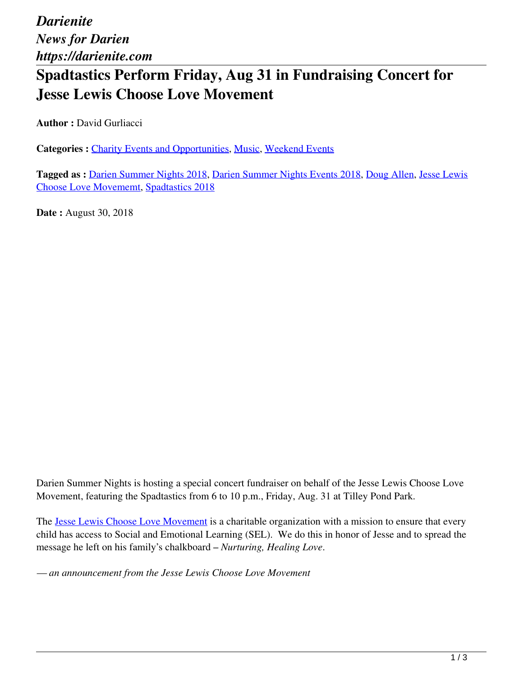*Darienite News for Darien https://darienite.com*

## **Spadtastics Perform Friday, Aug 31 in Fundraising Concert for Jesse Lewis Choose Love Movement**

**Author :** David Gurliacci

Categories : [Charity Events and Opportunities](https://darienite.com/category/charity-events-and-opportunities), Music, Weekend Events

Tagged as : Darien Summer Nights 2018, Darien Summer Nights Events 2018, Doug Allen, Jesse Lewis Choose Love Movememt, Spadtastics 2018

**Date : August 30, 2018** 

Darien Summer Nights is hosting a special concert fundraiser on behalf of the Jesse Lewis Choose Love Movement, featuring the Spadtastics from 6 to 10 p.m., Friday, Aug. 31 at Tilley Pond Park.

The Jesse Lewis Choose Love Movement is a charitable organization with a mission to ensure that every child has access to Social and Emotional Learning (SEL). We do this in honor of Jesse and to spread the message he left on his family's chalkboard – *Nurturing, Healing Love*.

*— an announcement from the Jesse Lewis Choose Love Movement*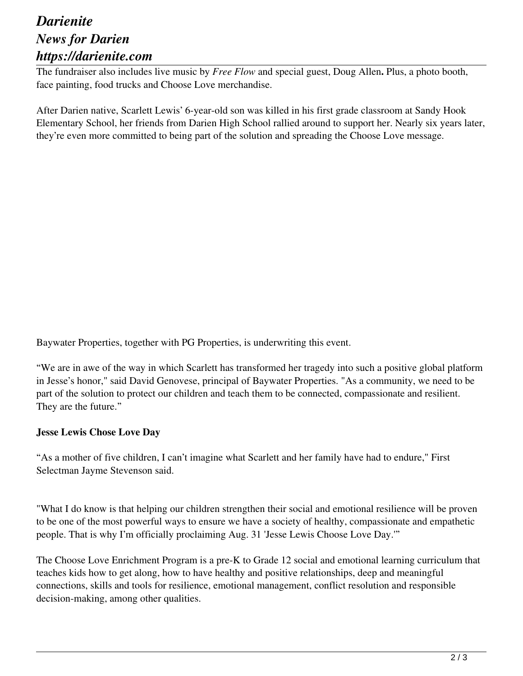## *Darienite News for Darien https://darienite.com*

The fundraiser also includes live music by *Free Flow* and special guest, Doug Allen**.** Plus, a photo booth, face painting, food trucks and Choose Love merchandise.

After Darien native, Scarlett Lewis' 6-year-old son was killed in his first grade classroom at Sandy Hook Elementary School, her friends from Darien High School rallied around to support her. Nearly six years later, they're even more committed to being part of the solution and spreading the Choose Love message.

Baywater Properties, together with PG Properties, is underwriting this event.

"We are in awe of the way in which Scarlett has transformed her tragedy into such a positive global platform in Jesse's honor," said David Genovese, principal of Baywater Properties. "As a community, we need to be part of the solution to protect our children and teach them to be connected, compassionate and resilient. They are the future."

## **Jesse Lewis Chose Love Day**

"As a mother of five children, I can't imagine what Scarlett and her family have had to endure," First Selectman Jayme Stevenson said.

"What I do know is that helping our children strengthen their social and emotional resilience will be proven to be one of the most powerful ways to ensure we have a society of healthy, compassionate and empathetic people. That is why I'm officially proclaiming Aug. 31 'Jesse Lewis Choose Love Day.'"

The Choose Love Enrichment Program is a pre-K to Grade 12 social and emotional learning curriculum that teaches kids how to get along, how to have healthy and positive relationships, deep and meaningful connections, skills and tools for resilience, emotional management, conflict resolution and responsible decision-making, among other qualities.